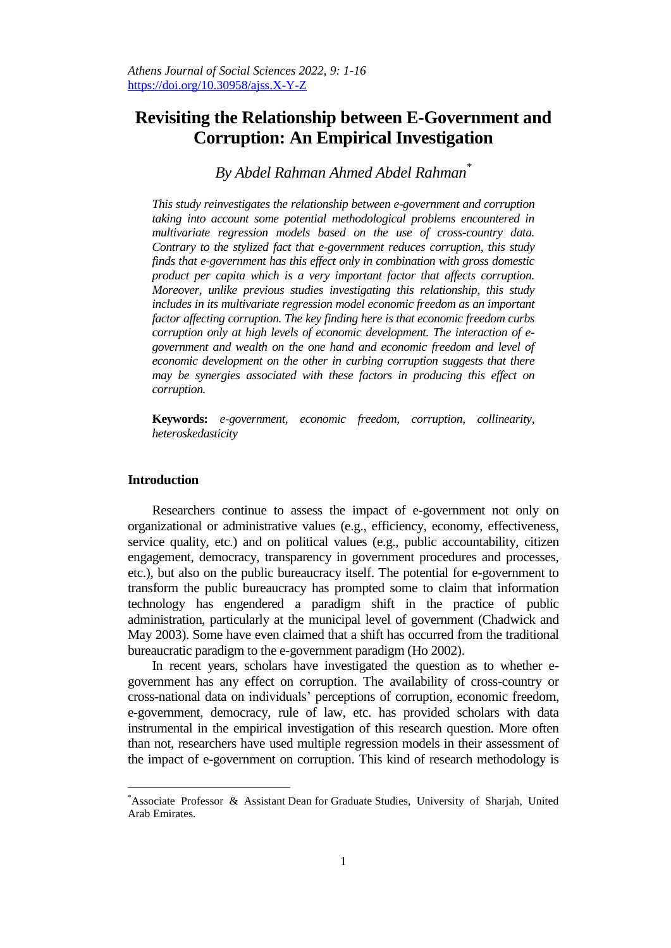# **Revisiting the Relationship between E-Government and Corruption: An Empirical Investigation**

# *By Abdel Rahman Ahmed Abdel Rahman\**

*This study reinvestigates the relationship between e-government and corruption taking into account some potential methodological problems encountered in multivariate regression models based on the use of cross-country data. Contrary to the stylized fact that e-government reduces corruption, this study finds that e-government has this effect only in combination with gross domestic product per capita which is a very important factor that affects corruption. Moreover, unlike previous studies investigating this relationship, this study includes in its multivariate regression model economic freedom as an important factor affecting corruption. The key finding here is that economic freedom curbs corruption only at high levels of economic development. The interaction of egovernment and wealth on the one hand and economic freedom and level of economic development on the other in curbing corruption suggests that there may be synergies associated with these factors in producing this effect on corruption.* 

**Keywords:** *e-government, economic freedom, corruption, collinearity, heteroskedasticity*

# **Introduction**

 $\overline{a}$ 

Researchers continue to assess the impact of e-government not only on organizational or administrative values (e.g., efficiency, economy, effectiveness, service quality, etc.) and on political values (e.g., public accountability, citizen engagement, democracy, transparency in government procedures and processes, etc.), but also on the public bureaucracy itself. The potential for e-government to transform the public bureaucracy has prompted some to claim that information technology has engendered a paradigm shift in the practice of public administration, particularly at the municipal level of government (Chadwick and May 2003). Some have even claimed that a shift has occurred from the traditional bureaucratic paradigm to the e-government paradigm (Ho 2002).

In recent years, scholars have investigated the question as to whether egovernment has any effect on corruption. The availability of cross-country or cross-national data on individuals' perceptions of corruption, economic freedom, e-government, democracy, rule of law, etc. has provided scholars with data instrumental in the empirical investigation of this research question. More often than not, researchers have used multiple regression models in their assessment of the impact of e-government on corruption. This kind of research methodology is

<sup>\*</sup>Associate Professor & Assistant Dean for Graduate Studies, University of Sharjah, United Arab Emirates.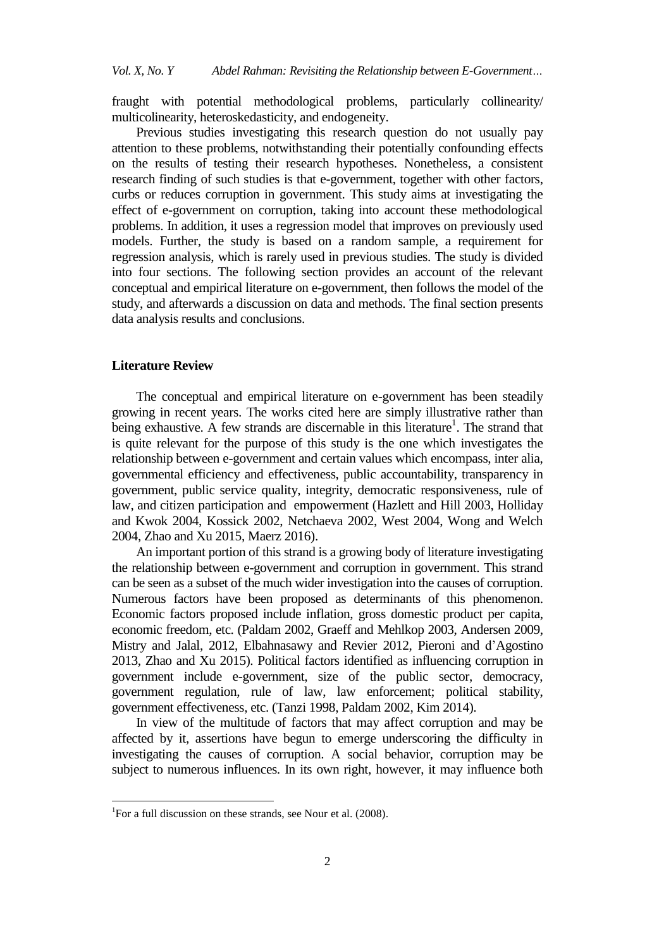fraught with potential methodological problems, particularly collinearity/ multicolinearity, heteroskedasticity, and endogeneity.

Previous studies investigating this research question do not usually pay attention to these problems, notwithstanding their potentially confounding effects on the results of testing their research hypotheses. Nonetheless, a consistent research finding of such studies is that e-government, together with other factors, curbs or reduces corruption in government. This study aims at investigating the effect of e-government on corruption, taking into account these methodological problems. In addition, it uses a regression model that improves on previously used models. Further, the study is based on a random sample, a requirement for regression analysis, which is rarely used in previous studies. The study is divided into four sections. The following section provides an account of the relevant conceptual and empirical literature on e-government, then follows the model of the study, and afterwards a discussion on data and methods. The final section presents data analysis results and conclusions.

#### **Literature Review**

 $\overline{a}$ 

The conceptual and empirical literature on e-government has been steadily growing in recent years. The works cited here are simply illustrative rather than being exhaustive. A few strands are discernable in this literature<sup>1</sup>. The strand that is quite relevant for the purpose of this study is the one which investigates the relationship between e-government and certain values which encompass, inter alia, governmental efficiency and effectiveness, public accountability, transparency in government, public service quality, integrity, democratic responsiveness, rule of law, and citizen participation and empowerment (Hazlett and Hill 2003, Holliday and Kwok 2004, Kossick 2002, Netchaeva 2002, West 2004, Wong and Welch 2004, Zhao and Xu 2015, Maerz 2016).

An important portion of this strand is a growing body of literature investigating the relationship between e-government and corruption in government. This strand can be seen as a subset of the much wider investigation into the causes of corruption. Numerous factors have been proposed as determinants of this phenomenon. Economic factors proposed include inflation, gross domestic product per capita, economic freedom, etc. (Paldam 2002, Graeff and Mehlkop 2003, Andersen 2009, Mistry and Jalal, 2012, Elbahnasawy and Revier 2012, Pieroni and d'Agostino 2013, Zhao and Xu 2015). Political factors identified as influencing corruption in government include e-government, size of the public sector, democracy, government regulation, rule of law, law enforcement; political stability, government effectiveness, etc. (Tanzi 1998, Paldam 2002, Kim 2014).

In view of the multitude of factors that may affect corruption and may be affected by it, assertions have begun to emerge underscoring the difficulty in investigating the causes of corruption. A social behavior, corruption may be subject to numerous influences. In its own right, however, it may influence both

<sup>&</sup>lt;sup>1</sup>For a full discussion on these strands, see Nour et al. (2008).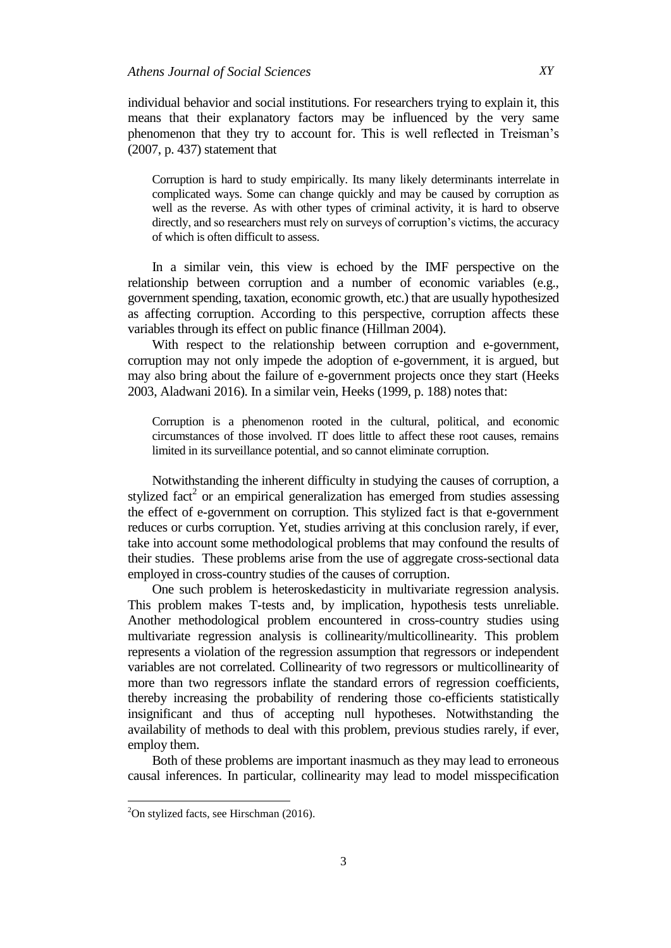individual behavior and social institutions. For researchers trying to explain it, this means that their explanatory factors may be influenced by the very same phenomenon that they try to account for. This is well reflected in Treisman's (2007, p. 437) statement that

Corruption is hard to study empirically. Its many likely determinants interrelate in complicated ways. Some can change quickly and may be caused by corruption as well as the reverse. As with other types of criminal activity, it is hard to observe directly, and so researchers must rely on surveys of corruption's victims, the accuracy of which is often difficult to assess.

In a similar vein, this view is echoed by the IMF perspective on the relationship between corruption and a number of economic variables (e.g., government spending, taxation, economic growth, etc.) that are usually hypothesized as affecting corruption. According to this perspective, corruption affects these variables through its effect on public finance (Hillman 2004).

With respect to the relationship between corruption and e-government, corruption may not only impede the adoption of e-government, it is argued, but may also bring about the failure of e-government projects once they start (Heeks 2003, Aladwani 2016). In a similar vein, Heeks (1999, p. 188) notes that:

Corruption is a phenomenon rooted in the cultural, political, and economic circumstances of those involved. IT does little to affect these root causes, remains limited in its surveillance potential, and so cannot eliminate corruption.

Notwithstanding the inherent difficulty in studying the causes of corruption, a stylized  $fact<sup>2</sup>$  or an empirical generalization has emerged from studies assessing the effect of e-government on corruption. This stylized fact is that e-government reduces or curbs corruption. Yet, studies arriving at this conclusion rarely, if ever, take into account some methodological problems that may confound the results of their studies. These problems arise from the use of aggregate cross-sectional data employed in cross-country studies of the causes of corruption.

One such problem is heteroskedasticity in multivariate regression analysis. This problem makes T-tests and, by implication, hypothesis tests unreliable. Another methodological problem encountered in cross-country studies using multivariate regression analysis is collinearity/multicollinearity. This problem represents a violation of the regression assumption that regressors or independent variables are not correlated. Collinearity of two regressors or multicollinearity of more than two regressors inflate the standard errors of regression coefficients, thereby increasing the probability of rendering those co-efficients statistically insignificant and thus of accepting null hypotheses. Notwithstanding the availability of methods to deal with this problem, previous studies rarely, if ever, employ them.

Both of these problems are important inasmuch as they may lead to erroneous causal inferences. In particular, collinearity may lead to model misspecification

 $\overline{a}$ 

 $2$ On stylized facts, see Hirschman (2016).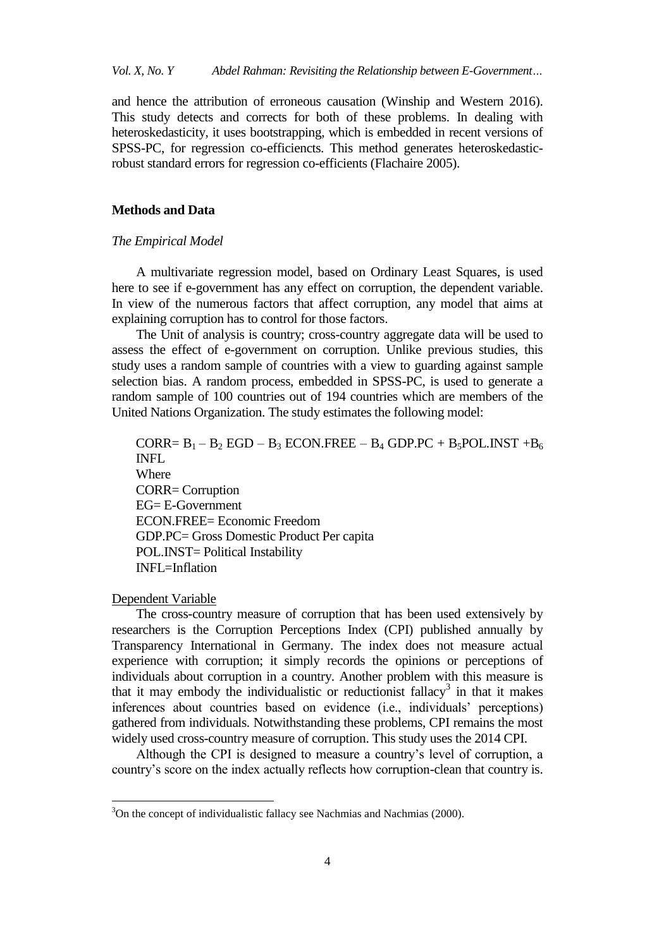and hence the attribution of erroneous causation (Winship and Western 2016). This study detects and corrects for both of these problems. In dealing with heteroskedasticity, it uses bootstrapping, which is embedded in recent versions of SPSS-PC, for regression co-efficiencts. This method generates heteroskedasticrobust standard errors for regression co-efficients (Flachaire 2005).

#### **Methods and Data**

## *The Empirical Model*

A multivariate regression model, based on Ordinary Least Squares, is used here to see if e-government has any effect on corruption, the dependent variable. In view of the numerous factors that affect corruption, any model that aims at explaining corruption has to control for those factors.

The Unit of analysis is country; cross-country aggregate data will be used to assess the effect of e-government on corruption. Unlike previous studies, this study uses a random sample of countries with a view to guarding against sample selection bias. A random process, embedded in SPSS-PC, is used to generate a random sample of 100 countries out of 194 countries which are members of the United Nations Organization. The study estimates the following model:

CORR=  $B_1 - B_2$  EGD –  $B_3$  ECON.FREE –  $B_4$  GDP.PC +  $B_5$ POL.INST + $B_6$ INFL Where CORR= Corruption EG= E-Government ECON.FREE= Economic Freedom GDP.PC= Gross Domestic Product Per capita POL.INST= Political Instability INFL=Inflation

# Dependent Variable

 $\overline{a}$ 

The cross-country measure of corruption that has been used extensively by researchers is the Corruption Perceptions Index (CPI) published annually by Transparency International in Germany. The index does not measure actual experience with corruption; it simply records the opinions or perceptions of individuals about corruption in a country. Another problem with this measure is that it may embody the individualistic or reductionist fallacy<sup>3</sup> in that it makes inferences about countries based on evidence (i.e., individuals' perceptions) gathered from individuals. Notwithstanding these problems, CPI remains the most widely used cross-country measure of corruption. This study uses the 2014 CPI.

Although the CPI is designed to measure a country's level of corruption, a country's score on the index actually reflects how corruption-clean that country is.

<sup>&</sup>lt;sup>3</sup>On the concept of individualistic fallacy see Nachmias and Nachmias (2000).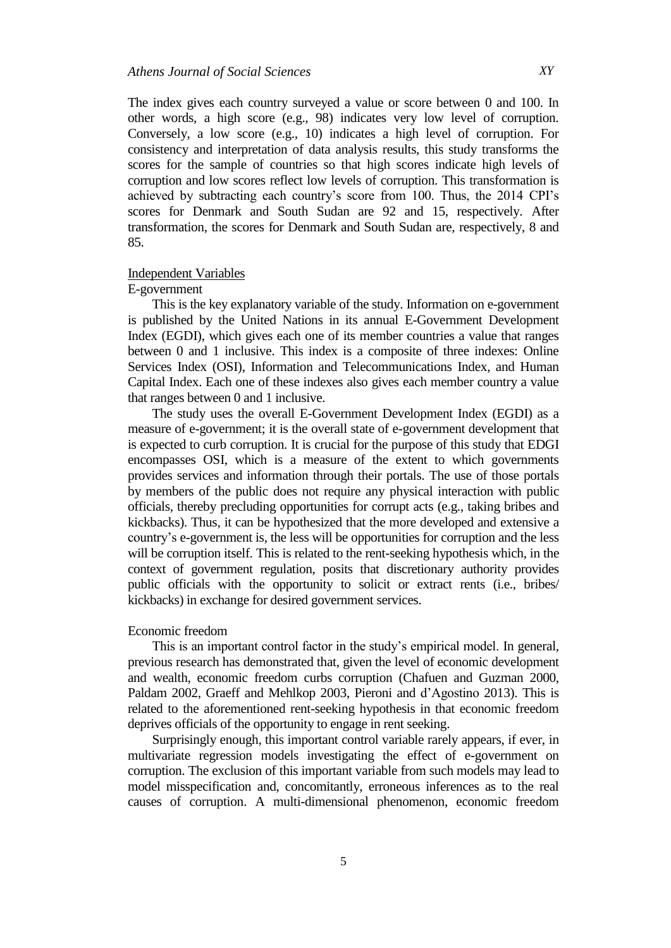The index gives each country surveyed a value or score between 0 and 100. In other words, a high score (e.g., 98) indicates very low level of corruption. Conversely, a low score (e.g., 10) indicates a high level of corruption. For consistency and interpretation of data analysis results, this study transforms the scores for the sample of countries so that high scores indicate high levels of corruption and low scores reflect low levels of corruption. This transformation is achieved by subtracting each country's score from 100. Thus, the 2014 CPI's scores for Denmark and South Sudan are 92 and 15, respectively. After transformation, the scores for Denmark and South Sudan are, respectively, 8 and 85.

## Independent Variables

# E-government

This is the key explanatory variable of the study. Information on e-government is published by the United Nations in its annual E-Government Development Index (EGDI), which gives each one of its member countries a value that ranges between 0 and 1 inclusive. This index is a composite of three indexes: Online Services Index (OSI), Information and Telecommunications Index, and Human Capital Index. Each one of these indexes also gives each member country a value that ranges between 0 and 1 inclusive.

The study uses the overall E-Government Development Index (EGDI) as a measure of e-government; it is the overall state of e-government development that is expected to curb corruption. It is crucial for the purpose of this study that EDGI encompasses OSI, which is a measure of the extent to which governments provides services and information through their portals. The use of those portals by members of the public does not require any physical interaction with public officials, thereby precluding opportunities for corrupt acts (e.g., taking bribes and kickbacks). Thus, it can be hypothesized that the more developed and extensive a country's e-government is, the less will be opportunities for corruption and the less will be corruption itself. This is related to the rent-seeking hypothesis which, in the context of government regulation, posits that discretionary authority provides public officials with the opportunity to solicit or extract rents (i.e., bribes/ kickbacks) in exchange for desired government services.

#### Economic freedom

This is an important control factor in the study's empirical model. In general, previous research has demonstrated that, given the level of economic development and wealth, economic freedom curbs corruption (Chafuen and Guzman 2000, Paldam 2002, Graeff and Mehlkop 2003, Pieroni and d'Agostino 2013). This is related to the aforementioned rent-seeking hypothesis in that economic freedom deprives officials of the opportunity to engage in rent seeking.

Surprisingly enough, this important control variable rarely appears, if ever, in multivariate regression models investigating the effect of e-government on corruption. The exclusion of this important variable from such models may lead to model misspecification and, concomitantly, erroneous inferences as to the real causes of corruption. A multi-dimensional phenomenon, economic freedom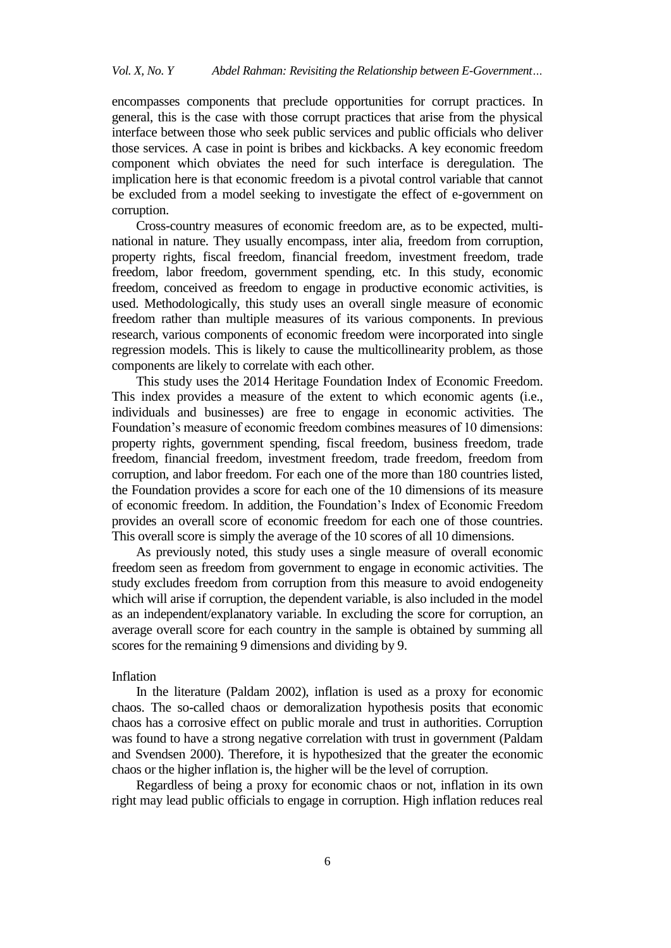encompasses components that preclude opportunities for corrupt practices. In general, this is the case with those corrupt practices that arise from the physical interface between those who seek public services and public officials who deliver those services. A case in point is bribes and kickbacks. A key economic freedom component which obviates the need for such interface is deregulation. The implication here is that economic freedom is a pivotal control variable that cannot be excluded from a model seeking to investigate the effect of e-government on corruption.

Cross-country measures of economic freedom are, as to be expected, multinational in nature. They usually encompass, inter alia, freedom from corruption, property rights, fiscal freedom, financial freedom, investment freedom, trade freedom, labor freedom, government spending, etc. In this study, economic freedom, conceived as freedom to engage in productive economic activities, is used. Methodologically, this study uses an overall single measure of economic freedom rather than multiple measures of its various components. In previous research, various components of economic freedom were incorporated into single regression models. This is likely to cause the multicollinearity problem, as those components are likely to correlate with each other.

This study uses the 2014 Heritage Foundation Index of Economic Freedom. This index provides a measure of the extent to which economic agents (i.e., individuals and businesses) are free to engage in economic activities. The Foundation's measure of economic freedom combines measures of 10 dimensions: property rights, government spending, fiscal freedom, business freedom, trade freedom, financial freedom, investment freedom, trade freedom, freedom from corruption, and labor freedom. For each one of the more than 180 countries listed, the Foundation provides a score for each one of the 10 dimensions of its measure of economic freedom. In addition, the Foundation's Index of Economic Freedom provides an overall score of economic freedom for each one of those countries. This overall score is simply the average of the 10 scores of all 10 dimensions.

As previously noted, this study uses a single measure of overall economic freedom seen as freedom from government to engage in economic activities. The study excludes freedom from corruption from this measure to avoid endogeneity which will arise if corruption, the dependent variable, is also included in the model as an independent/explanatory variable. In excluding the score for corruption, an average overall score for each country in the sample is obtained by summing all scores for the remaining 9 dimensions and dividing by 9.

#### Inflation

In the literature (Paldam 2002), inflation is used as a proxy for economic chaos. The so-called chaos or demoralization hypothesis posits that economic chaos has a corrosive effect on public morale and trust in authorities. Corruption was found to have a strong negative correlation with trust in government (Paldam and Svendsen 2000). Therefore, it is hypothesized that the greater the economic chaos or the higher inflation is, the higher will be the level of corruption.

Regardless of being a proxy for economic chaos or not, inflation in its own right may lead public officials to engage in corruption. High inflation reduces real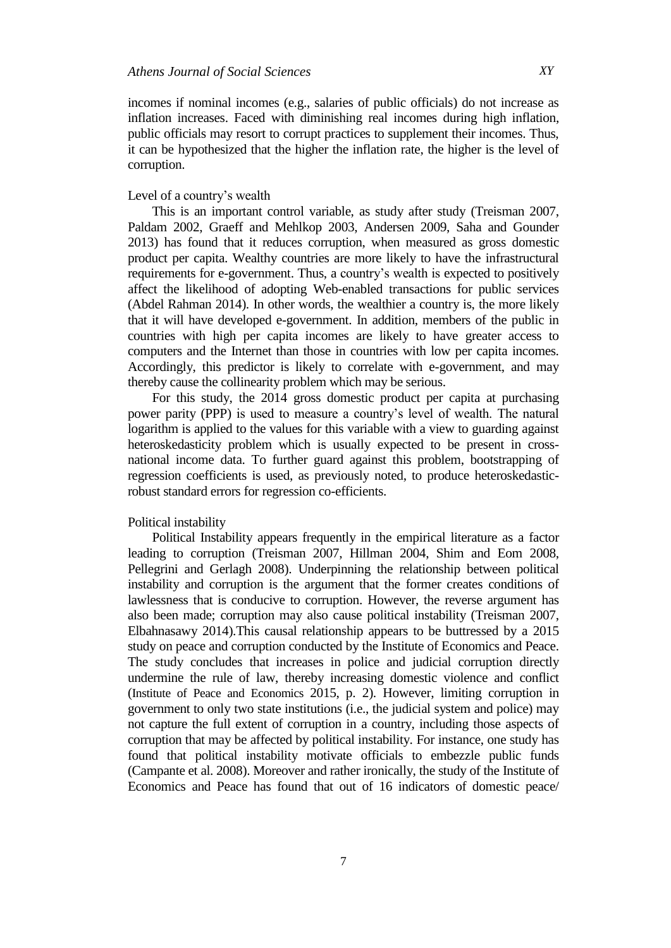incomes if nominal incomes (e.g., salaries of public officials) do not increase as inflation increases. Faced with diminishing real incomes during high inflation, public officials may resort to corrupt practices to supplement their incomes. Thus, it can be hypothesized that the higher the inflation rate, the higher is the level of corruption.

## Level of a country's wealth

This is an important control variable, as study after study (Treisman 2007, Paldam 2002, Graeff and Mehlkop 2003, Andersen 2009, Saha and Gounder 2013) has found that it reduces corruption, when measured as gross domestic product per capita. Wealthy countries are more likely to have the infrastructural requirements for e-government. Thus, a country's wealth is expected to positively affect the likelihood of adopting Web-enabled transactions for public services (Abdel Rahman 2014). In other words, the wealthier a country is, the more likely that it will have developed e-government. In addition, members of the public in countries with high per capita incomes are likely to have greater access to computers and the Internet than those in countries with low per capita incomes. Accordingly, this predictor is likely to correlate with e-government, and may thereby cause the collinearity problem which may be serious.

For this study, the 2014 gross domestic product per capita at purchasing power parity (PPP) is used to measure a country's level of wealth. The natural logarithm is applied to the values for this variable with a view to guarding against heteroskedasticity problem which is usually expected to be present in crossnational income data. To further guard against this problem, bootstrapping of regression coefficients is used, as previously noted, to produce heteroskedasticrobust standard errors for regression co-efficients.

### Political instability

Political Instability appears frequently in the empirical literature as a factor leading to corruption (Treisman 2007, Hillman 2004, Shim and Eom 2008, Pellegrini and Gerlagh 2008). Underpinning the relationship between political instability and corruption is the argument that the former creates conditions of lawlessness that is conducive to corruption. However, the reverse argument has also been made; corruption may also cause political instability (Treisman 2007, Elbahnasawy 2014).This causal relationship appears to be buttressed by a 2015 study on peace and corruption conducted by the Institute of Economics and Peace. The study concludes that increases in police and judicial corruption directly undermine the rule of law, thereby increasing domestic violence and conflict (Institute of Peace and Economics 2015, p. 2). However, limiting corruption in government to only two state institutions (i.e., the judicial system and police) may not capture the full extent of corruption in a country, including those aspects of corruption that may be affected by political instability. For instance, one study has found that political instability motivate officials to embezzle public funds (Campante et al. 2008). Moreover and rather ironically, the study of the Institute of Economics and Peace has found that out of 16 indicators of domestic peace/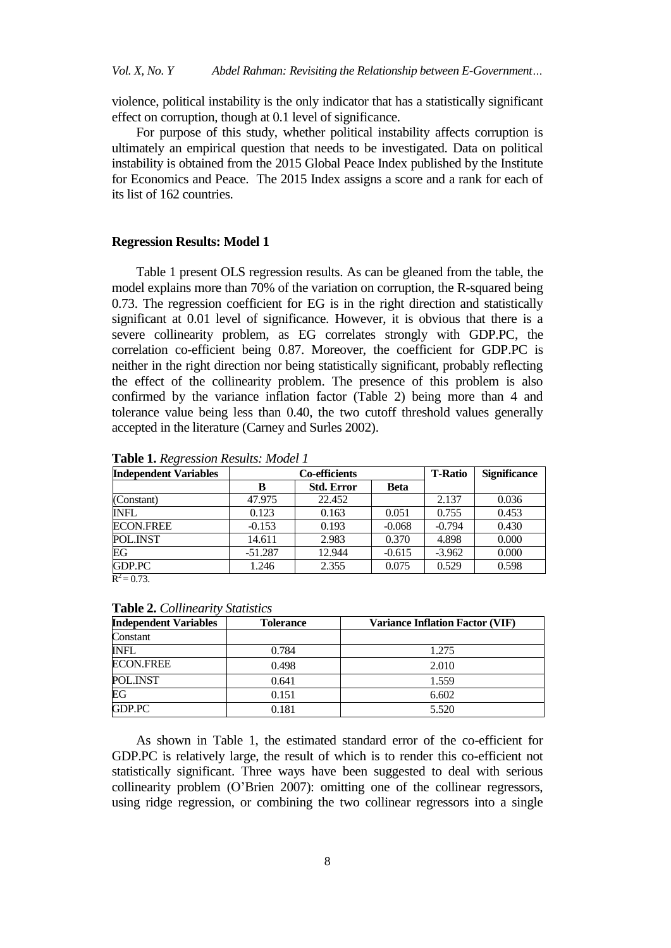violence, political instability is the only indicator that has a statistically significant effect on corruption, though at 0.1 level of significance.

For purpose of this study, whether political instability affects corruption is ultimately an empirical question that needs to be investigated. Data on political instability is obtained from the 2015 Global Peace Index published by the Institute for Economics and Peace. The 2015 Index assigns a score and a rank for each of its list of 162 countries.

#### **Regression Results: Model 1**

Table 1 present OLS regression results. As can be gleaned from the table, the model explains more than 70% of the variation on corruption, the R-squared being 0.73. The regression coefficient for EG is in the right direction and statistically significant at 0.01 level of significance. However, it is obvious that there is a severe collinearity problem, as EG correlates strongly with GDP.PC, the correlation co-efficient being 0.87. Moreover, the coefficient for GDP.PC is neither in the right direction nor being statistically significant, probably reflecting the effect of the collinearity problem. The presence of this problem is also confirmed by the variance inflation factor (Table 2) being more than 4 and tolerance value being less than 0.40, the two cutoff threshold values generally accepted in the literature (Carney and Surles 2002).

| <b>Independent Variables</b> | Co-efficients |                   |             | <b>T-Ratio</b> | <b>Significance</b> |
|------------------------------|---------------|-------------------|-------------|----------------|---------------------|
|                              | в             | <b>Std. Error</b> | <b>Beta</b> |                |                     |
| (Constant)                   | 47.975        | 22.452            |             | 2.137          | 0.036               |
| <b>INFL</b>                  | 0.123         | 0.163             | 0.051       | 0.755          | 0.453               |
| <b>ECON.FREE</b>             | $-0.153$      | 0.193             | $-0.068$    | $-0.794$       | 0.430               |
| POL.INST                     | 14.611        | 2.983             | 0.370       | 4.898          | 0.000               |
| EG                           | $-51.287$     | 12.944            | $-0.615$    | $-3.962$       | 0.000               |
| GDP.PC                       | 1.246         | 2.355             | 0.075       | 0.529          | 0.598               |

**Table 1.** *Regression Results: Model 1*

 $R^2 = 0.73$ .

| <b>Independent Variables</b> | <b>Tolerance</b> | <b>Variance Inflation Factor (VIF)</b> |
|------------------------------|------------------|----------------------------------------|
| Constant                     |                  |                                        |
| <b>INFL</b>                  | 0.784            | 1.275                                  |
| <b>ECON.FREE</b>             | 0.498            | 2.010                                  |
| POL.INST                     | 0.641            | 1.559                                  |
| EG                           | 0.151            | 6.602                                  |
| GDP.PC                       | 0.181            | 5.520                                  |

# **Table 2.** *Collinearity Statistics*

As shown in Table 1, the estimated standard error of the co-efficient for GDP.PC is relatively large, the result of which is to render this co-efficient not statistically significant. Three ways have been suggested to deal with serious collinearity problem (O'Brien 2007): omitting one of the collinear regressors, using ridge regression, or combining the two collinear regressors into a single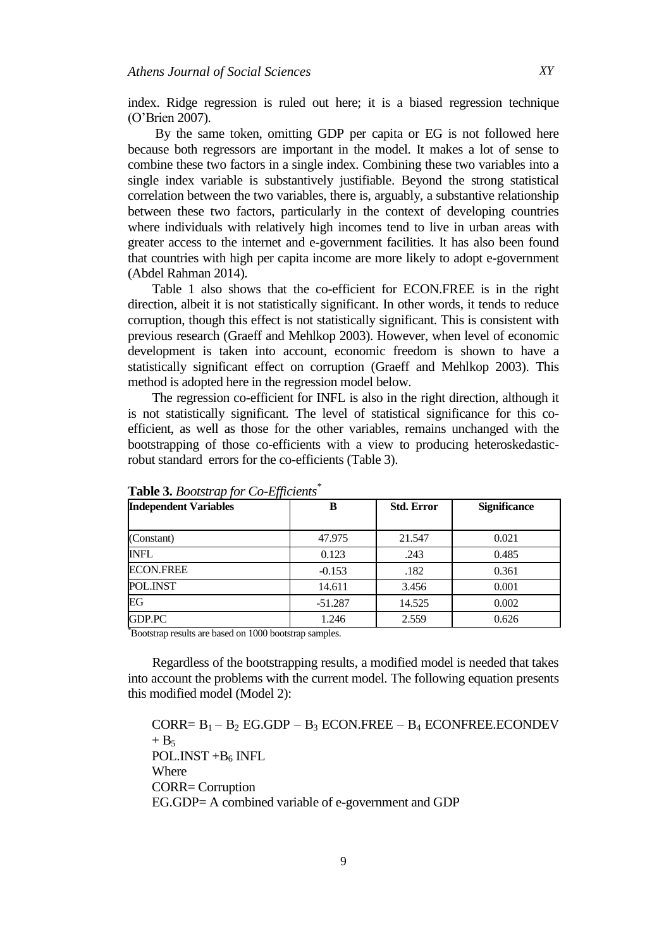index. Ridge regression is ruled out here; it is a biased regression technique (O'Brien 2007).

By the same token, omitting GDP per capita or EG is not followed here because both regressors are important in the model. It makes a lot of sense to combine these two factors in a single index. Combining these two variables into a single index variable is substantively justifiable. Beyond the strong statistical correlation between the two variables, there is, arguably, a substantive relationship between these two factors, particularly in the context of developing countries where individuals with relatively high incomes tend to live in urban areas with greater access to the internet and e-government facilities. It has also been found that countries with high per capita income are more likely to adopt e-government (Abdel Rahman 2014).

Table 1 also shows that the co-efficient for ECON.FREE is in the right direction, albeit it is not statistically significant. In other words, it tends to reduce corruption, though this effect is not statistically significant. This is consistent with previous research (Graeff and Mehlkop 2003). However, when level of economic development is taken into account, economic freedom is shown to have a statistically significant effect on corruption (Graeff and Mehlkop 2003). This method is adopted here in the regression model below.

The regression co-efficient for INFL is also in the right direction, although it is not statistically significant. The level of statistical significance for this coefficient, as well as those for the other variables, remains unchanged with the bootstrapping of those co-efficients with a view to producing heteroskedasticrobut standard errors for the co-efficients (Table 3).

| <b>Independent Variables</b> | в         | <b>Std. Error</b> | <b>Significance</b> |
|------------------------------|-----------|-------------------|---------------------|
| (Constant)                   | 47.975    | 21.547            | 0.021               |
| <b>INFL</b>                  | 0.123     | .243              | 0.485               |
| <b>ECON.FREE</b>             | $-0.153$  | .182              | 0.361               |
| POL.INST                     | 14.611    | 3.456             | 0.001               |
| EG                           | $-51.287$ | 14.525            | 0.002               |
| GDP.PC                       | 1.246     | 2.559             | 0.626               |

**Table 3.** *Bootstrap for Co-Efficients\**

\*Bootstrap results are based on 1000 bootstrap samples.

Regardless of the bootstrapping results, a modified model is needed that takes into account the problems with the current model. The following equation presents this modified model (Model 2):

```
CORR= B_1 - B_2 EG.GDP – B_3 ECON.FREE – B_4 ECONFREE.ECONDEV
+ B<sub>5</sub>POL.INST +B_6 INFL
Where
CORR= Corruption
EG.GDP= A combined variable of e-government and GDP
```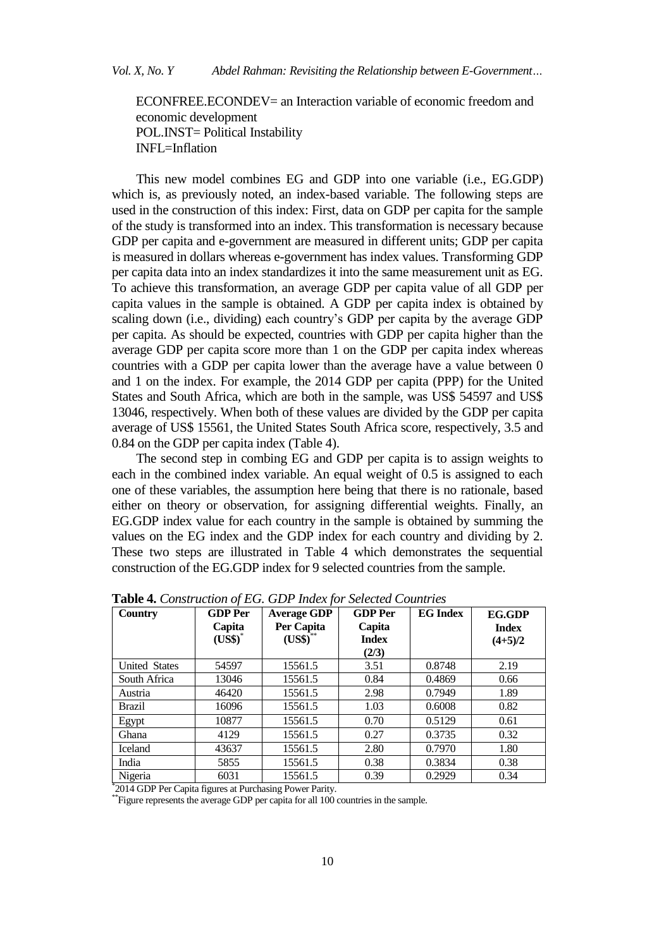ECONFREE.ECONDEV= an Interaction variable of economic freedom and economic development POL.INST= Political Instability INFL=Inflation

This new model combines EG and GDP into one variable (i.e., EG.GDP) which is, as previously noted, an index-based variable. The following steps are used in the construction of this index: First, data on GDP per capita for the sample of the study is transformed into an index. This transformation is necessary because GDP per capita and e-government are measured in different units; GDP per capita is measured in dollars whereas e-government has index values. Transforming GDP per capita data into an index standardizes it into the same measurement unit as EG. To achieve this transformation, an average GDP per capita value of all GDP per capita values in the sample is obtained. A GDP per capita index is obtained by scaling down (i.e., dividing) each country's GDP per capita by the average GDP per capita. As should be expected, countries with GDP per capita higher than the average GDP per capita score more than 1 on the GDP per capita index whereas countries with a GDP per capita lower than the average have a value between 0 and 1 on the index. For example, the 2014 GDP per capita (PPP) for the United States and South Africa, which are both in the sample, was US\$ 54597 and US\$ 13046, respectively. When both of these values are divided by the GDP per capita average of US\$ 15561, the United States South Africa score, respectively, 3.5 and 0.84 on the GDP per capita index (Table 4).

The second step in combing EG and GDP per capita is to assign weights to each in the combined index variable. An equal weight of 0.5 is assigned to each one of these variables, the assumption here being that there is no rationale, based either on theory or observation, for assigning differential weights. Finally, an EG.GDP index value for each country in the sample is obtained by summing the values on the EG index and the GDP index for each country and dividing by 2. These two steps are illustrated in Table 4 which demonstrates the sequential construction of the EG.GDP index for 9 selected countries from the sample.

| <b>Country</b>                                               | <b>GDP</b> Per<br>Capita<br>$(USS)^*$ | <b>Average GDP</b><br>Per Capita<br>(US\$) | <b>GDP</b> Per<br>Capita<br><b>Index</b><br>(2/3) | <b>EG</b> Index | EG.GDP<br><b>Index</b><br>$(4+5)/2$ |
|--------------------------------------------------------------|---------------------------------------|--------------------------------------------|---------------------------------------------------|-----------------|-------------------------------------|
| <b>United States</b>                                         | 54597                                 | 15561.5                                    | 3.51                                              | 0.8748          | 2.19                                |
| South Africa                                                 | 13046                                 | 15561.5                                    | 0.84                                              | 0.4869          | 0.66                                |
| Austria                                                      | 46420                                 | 15561.5                                    | 2.98                                              | 0.7949          | 1.89                                |
| <b>Brazil</b>                                                | 16096                                 | 15561.5                                    | 1.03                                              | 0.6008          | 0.82                                |
| Egypt                                                        | 10877                                 | 15561.5                                    | 0.70                                              | 0.5129          | 0.61                                |
| Ghana                                                        | 4129                                  | 15561.5                                    | 0.27                                              | 0.3735          | 0.32                                |
| Iceland                                                      | 43637                                 | 15561.5                                    | 2.80                                              | 0.7970          | 1.80                                |
| India                                                        | 5855                                  | 15561.5                                    | 0.38                                              | 0.3834          | 0.38                                |
| Nigeria                                                      | 6031                                  | 15561.5                                    | 0.39                                              | 0.2929          | 0.34                                |
| $^*$ 3014 CDD Bar Capita fraunce at Burghaeing Bouwer Barity |                                       |                                            |                                                   |                 |                                     |

**Table 4.** *Construction of EG. GDP Index for Selected Countries*

2014 GDP Per Capita figures at Purchasing Power Parity.

\*\*Figure represents the average GDP per capita for all 100 countries in the sample.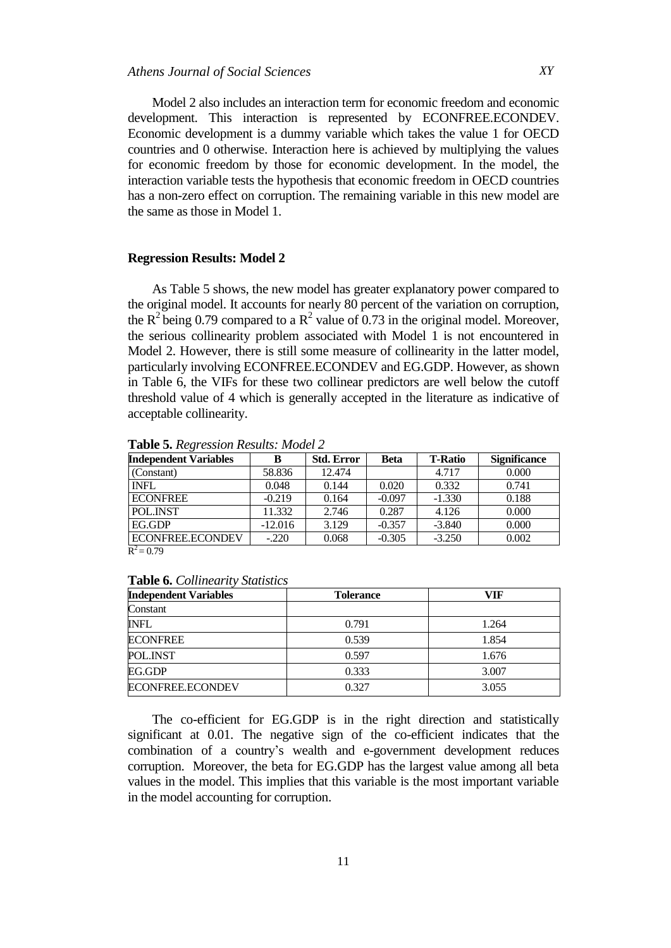Model 2 also includes an interaction term for economic freedom and economic development. This interaction is represented by ECONFREE.ECONDEV. Economic development is a dummy variable which takes the value 1 for OECD countries and 0 otherwise. Interaction here is achieved by multiplying the values for economic freedom by those for economic development. In the model, the interaction variable tests the hypothesis that economic freedom in OECD countries has a non-zero effect on corruption. The remaining variable in this new model are the same as those in Model 1.

#### **Regression Results: Model 2**

As Table 5 shows, the new model has greater explanatory power compared to the original model. It accounts for nearly 80 percent of the variation on corruption, the  $R^2$  being 0.79 compared to a  $R^2$  value of 0.73 in the original model. Moreover, the serious collinearity problem associated with Model 1 is not encountered in Model 2. However, there is still some measure of collinearity in the latter model, particularly involving ECONFREE.ECONDEV and EG.GDP. However, as shown in Table 6, the VIFs for these two collinear predictors are well below the cutoff threshold value of 4 which is generally accepted in the literature as indicative of acceptable collinearity.

| <b>Independent Variables</b>  | в         | <b>Std. Error</b> | Beta     | <b>T-Ratio</b> | <b>Significance</b> |
|-------------------------------|-----------|-------------------|----------|----------------|---------------------|
| (Constant)                    | 58.836    | 12.474            |          | 4.717          | 0.000               |
| <b>INFL</b>                   | 0.048     | 0.144             | 0.020    | 0.332          | 0.741               |
| <b>ECONFREE</b>               | $-0.219$  | 0.164             | $-0.097$ | $-1.330$       | 0.188               |
| POL.INST                      | 11.332    | 2.746             | 0.287    | 4.126          | 0.000               |
| EG.GDP                        | $-12.016$ | 3.129             | $-0.357$ | $-3.840$       | 0.000               |
| ECONFREE.ECONDEV<br>$-2$ $-2$ | $-.220$   | 0.068             | $-0.305$ | $-3.250$       | 0.002               |

**Table 5.** *Regression Results: Model 2*

 $R^2 = 0.79$ 

#### **Table 6.** *Collinearity Statistics*

| <b>Independent Variables</b> | <b>Tolerance</b> | VIF   |
|------------------------------|------------------|-------|
| Constant                     |                  |       |
| INFL                         | 0.791            | 1.264 |
| <b>ECONFREE</b>              | 0.539            | 1.854 |
| POL.INST                     | 0.597            | 1.676 |
| EG.GDP                       | 0.333            | 3.007 |
| ECONFREE.ECONDEV             | 0.327            | 3.055 |

The co-efficient for EG.GDP is in the right direction and statistically significant at 0.01. The negative sign of the co-efficient indicates that the combination of a country's wealth and e-government development reduces corruption. Moreover, the beta for EG.GDP has the largest value among all beta values in the model. This implies that this variable is the most important variable in the model accounting for corruption.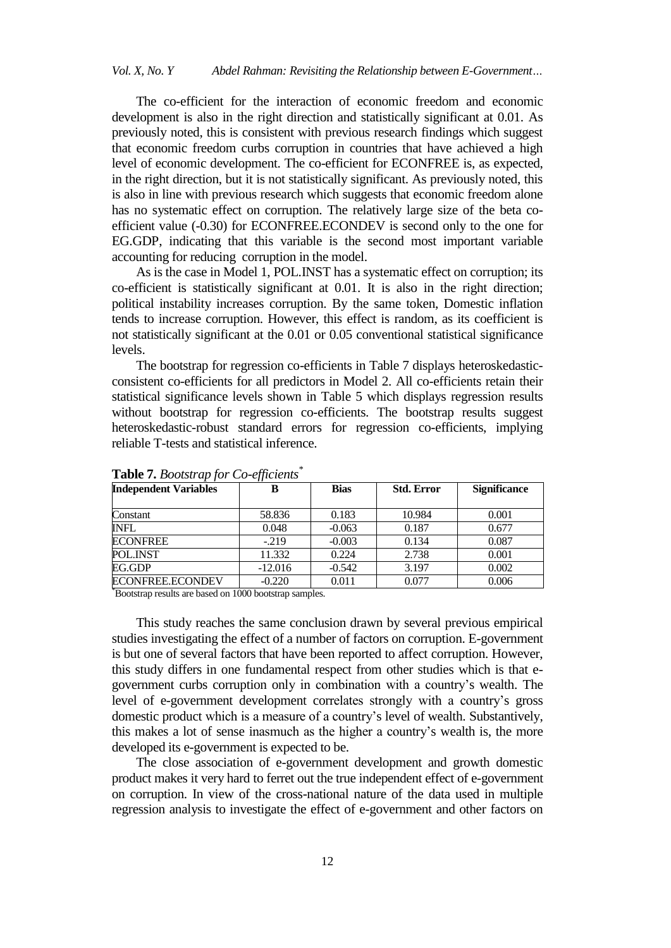The co-efficient for the interaction of economic freedom and economic development is also in the right direction and statistically significant at 0.01. As previously noted, this is consistent with previous research findings which suggest that economic freedom curbs corruption in countries that have achieved a high level of economic development. The co-efficient for ECONFREE is, as expected, in the right direction, but it is not statistically significant. As previously noted, this is also in line with previous research which suggests that economic freedom alone has no systematic effect on corruption. The relatively large size of the beta coefficient value (-0.30) for ECONFREE.ECONDEV is second only to the one for EG.GDP, indicating that this variable is the second most important variable accounting for reducing corruption in the model.

As is the case in Model 1, POL.INST has a systematic effect on corruption; its co-efficient is statistically significant at 0.01. It is also in the right direction; political instability increases corruption. By the same token, Domestic inflation tends to increase corruption. However, this effect is random, as its coefficient is not statistically significant at the 0.01 or 0.05 conventional statistical significance levels.

The bootstrap for regression co-efficients in Table 7 displays heteroskedasticconsistent co-efficients for all predictors in Model 2. All co-efficients retain their statistical significance levels shown in Table 5 which displays regression results without bootstrap for regression co-efficients. The bootstrap results suggest heteroskedastic-robust standard errors for regression co-efficients, implying reliable T-tests and statistical inference.

| <b>Independent Variables</b> | в         | <b>Bias</b> | <b>Std. Error</b> | <b>Significance</b> |
|------------------------------|-----------|-------------|-------------------|---------------------|
|                              |           |             |                   |                     |
| Constant                     | 58.836    | 0.183       | 10.984            | 0.001               |
| <b>INFL</b>                  | 0.048     | $-0.063$    | 0.187             | 0.677               |
| <b>ECONFREE</b>              | $-219$    | $-0.003$    | 0.134             | 0.087               |
| POL.INST                     | 11.332    | 0.224       | 2.738             | 0.001               |
| EG.GDP                       | $-12.016$ | $-0.542$    | 3.197             | 0.002               |
| ECONFREE.ECONDEV             | $-0.220$  | 0.011       | 0.077             | 0.006               |

# **Table 7.** *Bootstrap for Co-efficients\**

\*Bootstrap results are based on 1000 bootstrap samples.

This study reaches the same conclusion drawn by several previous empirical studies investigating the effect of a number of factors on corruption. E-government is but one of several factors that have been reported to affect corruption. However, this study differs in one fundamental respect from other studies which is that egovernment curbs corruption only in combination with a country's wealth. The level of e-government development correlates strongly with a country's gross domestic product which is a measure of a country's level of wealth. Substantively, this makes a lot of sense inasmuch as the higher a country's wealth is, the more developed its e-government is expected to be.

The close association of e-government development and growth domestic product makes it very hard to ferret out the true independent effect of e-government on corruption. In view of the cross-national nature of the data used in multiple regression analysis to investigate the effect of e-government and other factors on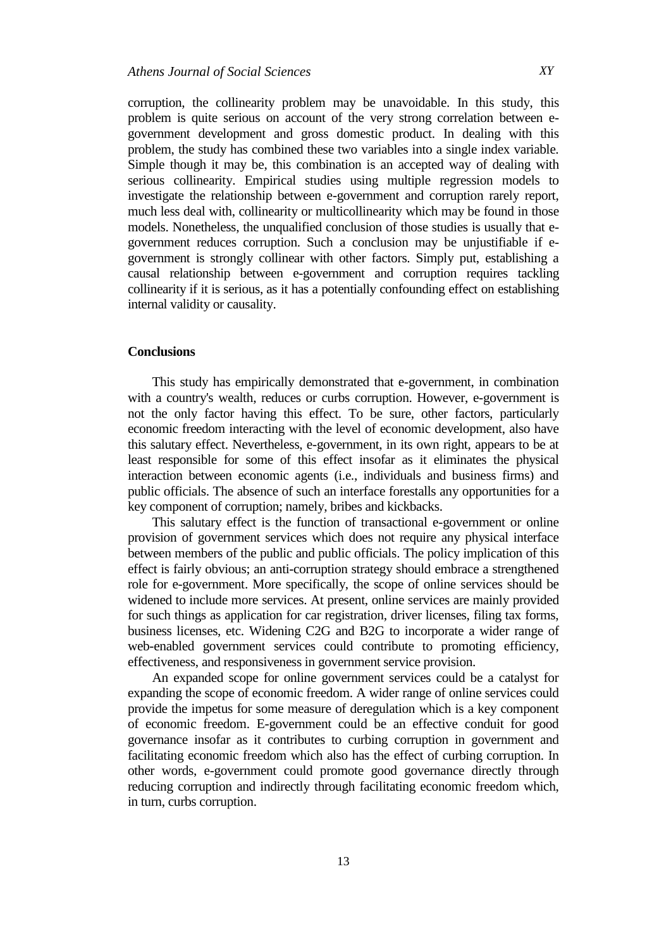corruption, the collinearity problem may be unavoidable. In this study, this problem is quite serious on account of the very strong correlation between egovernment development and gross domestic product. In dealing with this problem, the study has combined these two variables into a single index variable. Simple though it may be, this combination is an accepted way of dealing with serious collinearity. Empirical studies using multiple regression models to investigate the relationship between e-government and corruption rarely report, much less deal with, collinearity or multicollinearity which may be found in those models. Nonetheless, the unqualified conclusion of those studies is usually that egovernment reduces corruption. Such a conclusion may be unjustifiable if egovernment is strongly collinear with other factors. Simply put, establishing a causal relationship between e-government and corruption requires tackling collinearity if it is serious, as it has a potentially confounding effect on establishing internal validity or causality.

## **Conclusions**

This study has empirically demonstrated that e-government, in combination with a country's wealth, reduces or curbs corruption. However, e-government is not the only factor having this effect. To be sure, other factors, particularly economic freedom interacting with the level of economic development, also have this salutary effect. Nevertheless, e-government, in its own right, appears to be at least responsible for some of this effect insofar as it eliminates the physical interaction between economic agents (i.e., individuals and business firms) and public officials. The absence of such an interface forestalls any opportunities for a key component of corruption; namely, bribes and kickbacks.

This salutary effect is the function of transactional e-government or online provision of government services which does not require any physical interface between members of the public and public officials. The policy implication of this effect is fairly obvious; an anti-corruption strategy should embrace a strengthened role for e-government. More specifically, the scope of online services should be widened to include more services. At present, online services are mainly provided for such things as application for car registration, driver licenses, filing tax forms, business licenses, etc. Widening C2G and B2G to incorporate a wider range of web-enabled government services could contribute to promoting efficiency, effectiveness, and responsiveness in government service provision.

An expanded scope for online government services could be a catalyst for expanding the scope of economic freedom. A wider range of online services could provide the impetus for some measure of deregulation which is a key component of economic freedom. E-government could be an effective conduit for good governance insofar as it contributes to curbing corruption in government and facilitating economic freedom which also has the effect of curbing corruption. In other words, e-government could promote good governance directly through reducing corruption and indirectly through facilitating economic freedom which, in turn, curbs corruption.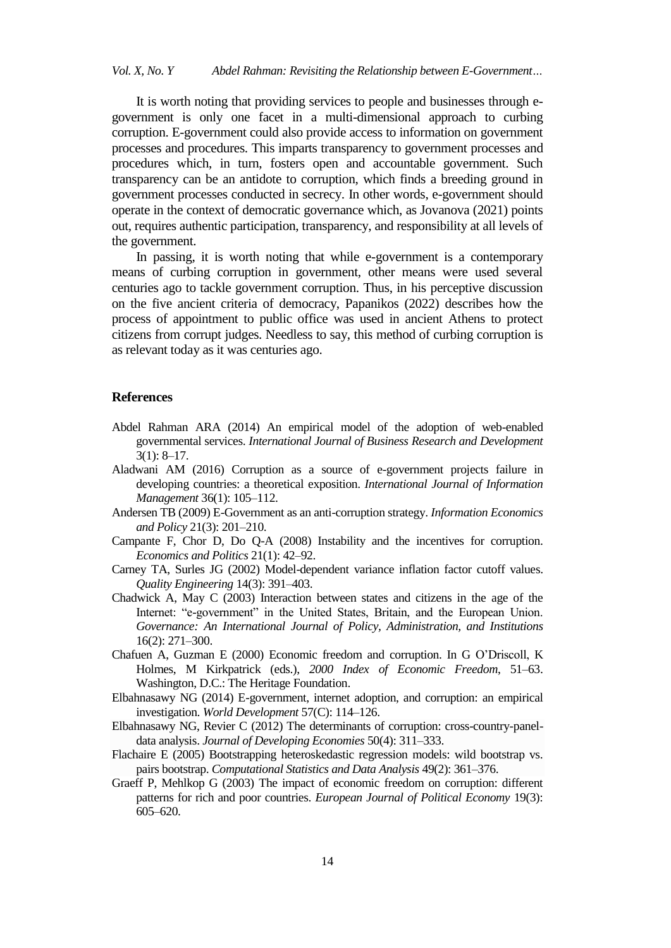It is worth noting that providing services to people and businesses through egovernment is only one facet in a multi-dimensional approach to curbing corruption. E-government could also provide access to information on government processes and procedures. This imparts transparency to government processes and procedures which, in turn, fosters open and accountable government. Such transparency can be an antidote to corruption, which finds a breeding ground in government processes conducted in secrecy. In other words, e-government should operate in the context of democratic governance which, as Jovanova (2021) points out, requires authentic participation, transparency, and responsibility at all levels of the government.

In passing, it is worth noting that while e-government is a contemporary means of curbing corruption in government, other means were used several centuries ago to tackle government corruption. Thus, in his perceptive discussion on the five ancient criteria of democracy, Papanikos (2022) describes how the process of appointment to public office was used in ancient Athens to protect citizens from corrupt judges. Needless to say, this method of curbing corruption is as relevant today as it was centuries ago.

#### **References**

- Abdel Rahman ARA (2014) An empirical model of the adoption of web-enabled governmental services. *International Journal of Business Research and Development*   $3(1): 8-17.$
- Aladwani AM (2016) Corruption as a source of e-government projects failure in developing countries: a theoretical exposition. *International Journal of Information Management* 36(1): 105–112.
- Andersen TB (2009) E-Government as an anti-corruption strategy. *Information Economics and Policy* 21(3): 201–210.
- Campante F, Chor D, Do Q-A (2008) Instability and the incentives for corruption. *Economics and Politics* 21(1): 42–92.
- Carney TA, Surles JG (2002) Model-dependent variance inflation factor cutoff values. *Quality Engineering* 14(3): 391–403.
- Chadwick A, May C (2003) Interaction between states and citizens in the age of the Internet: "e-government" in the United States, Britain, and the European Union. *Governance: An International Journal of Policy, Administration, and Institutions* 16(2): 271–300.
- Chafuen A, Guzman E (2000) Economic freedom and corruption. In G [O'Driscoll,](http://documentslide.com/economy-finance/chafuen-alejandro-and-eugenio-guzman-economic-freedom-and-corruption.html) K Holmes, M [Kirkpatrick](http://documentslide.com/economy-finance/chafuen-alejandro-and-eugenio-guzman-economic-freedom-and-corruption.html) (eds.), *2000 Index of Economic Freedom*, 51–63. Washington, D.C.: The Heritage Foundation.
- Elbahnasawy NG (2014) E-government, internet adoption, and corruption: an empirical investigation. *World Development* 57(C): 114–126.
- Elbahnasawy NG, Revier C (2012) The determinants of corruption: cross-country-paneldata analysis. *Journal of Developing Economies* 50(4): 311–333.
- Flachaire E (2005) Bootstrapping heteroskedastic regression models: wild bootstrap vs. pairs bootstrap. *Computational Statistics and Data Analysis* 49(2): 361–376.
- Graeff P, Mehlkop G (2003) The impact of economic freedom on corruption: different patterns for rich and poor countries. *European Journal of Political Economy* 19(3): 605–620.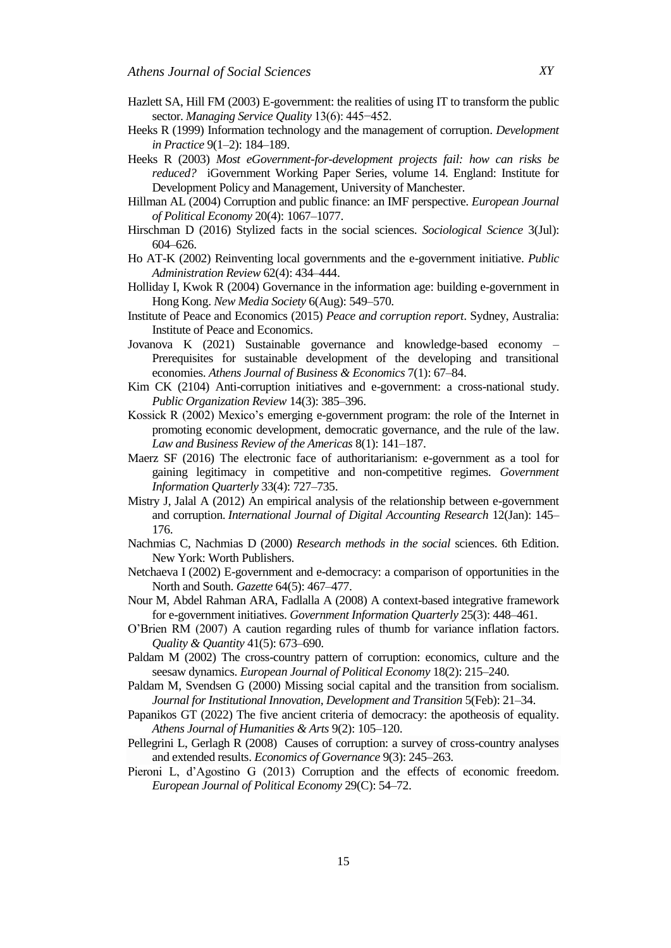- Hazlett SA, Hill FM (2003) E-government: the realities of using IT to transform the public sector. *Managing Service Quality* 13(6): 445−452.
- Heeks R (1999) Information technology and the management of corruption. *Development in Practice* 9(1–2): 184–189.
- Heeks R (2003) *Most eGovernment-for-development projects fail: how can risks be reduced?* iGovernment Working Paper Series, volume 14. England: Institute for Development Policy and Management, University of Manchester.
- Hillman AL (2004) Corruption and public finance: an IMF perspective. *European Journal of Political Economy* 20(4): 1067–1077.
- Hirschman D (2016) Stylized facts in the social sciences. *Sociological Science* 3(Jul): 604–626.
- Ho AT-K (2002) Reinventing local governments and the e-government initiative. *Public Administration Review* 62(4): 434–444.
- Holliday I, Kwok R (2004) Governance in the information age: building e-government in Hong Kong. *New Media Society* 6(Aug): 549–570.
- Institute of Peace and Economics (2015) *Peace and corruption report*. Sydney, Australia: Institute of Peace and Economics.
- Jovanova K (2021) Sustainable governance and knowledge-based economy Prerequisites for sustainable development of the developing and transitional economies. *Athens Journal of Business & Economics* 7(1): 67–84.
- Kim CK (2104) Anti-corruption initiatives and e-government: a cross-national study. *Public Organization Review* 14(3): 385–396.
- Kossick R (2002) Mexico's emerging e-government program: the role of the Internet in promoting economic development, democratic governance, and the rule of the law. *Law and Business Review of the Americas* 8(1): 141–187.
- Maerz SF (2016) The electronic face of authoritarianism: e-government as a tool for gaining legitimacy in competitive and non-competitive regimes. *Government Information Quarterly* 33(4): 727–735.
- Mistry J, Jalal A (2012) An empirical analysis of the relationship between e-government and corruption. *International Journal of Digital Accounting Research* 12(Jan): 145– 176.
- Nachmias C, Nachmias D (2000) *Research methods in the social* sciences. 6th Edition. New York: Worth Publishers.
- Netchaeva I (2002) E-government and e-democracy: a comparison of opportunities in the North and South. *Gazette* 64(5): 467–477.
- Nour M, Abdel Rahman ARA, Fadlalla A (2008) A context-based integrative framework for e-government initiatives. *Government Information Quarterly* 25(3): 448–461.
- O'Brien RM (2007) A caution regarding rules of thumb for variance inflation factors. *Quality & Quantity* 41(5): 673–690.
- Paldam M (2002) The cross-country pattern of corruption: economics, culture and the seesaw dynamics. *European Journal of Political Economy* 18(2): 215–240.
- Paldam M, Svendsen G (2000) Missing social capital and the transition from socialism. *Journal for Institutional Innovation, Development and Transition* 5(Feb): 21–34.
- Papanikos GT (2022) The five ancient criteria of democracy: the apotheosis of equality. *Athens Journal of Humanities & Arts* 9(2): 105–120.
- Pellegrini L, Gerlagh R (2008) Causes of corruption: a survey of cross-country analyses and extended results. *Economics of Governance* 9(3): 245–263.
- Pieroni L, d'Agostino G (2013) Corruption and the effects of economic freedom. *European Journal of Political Economy* 29(C): 54–72.